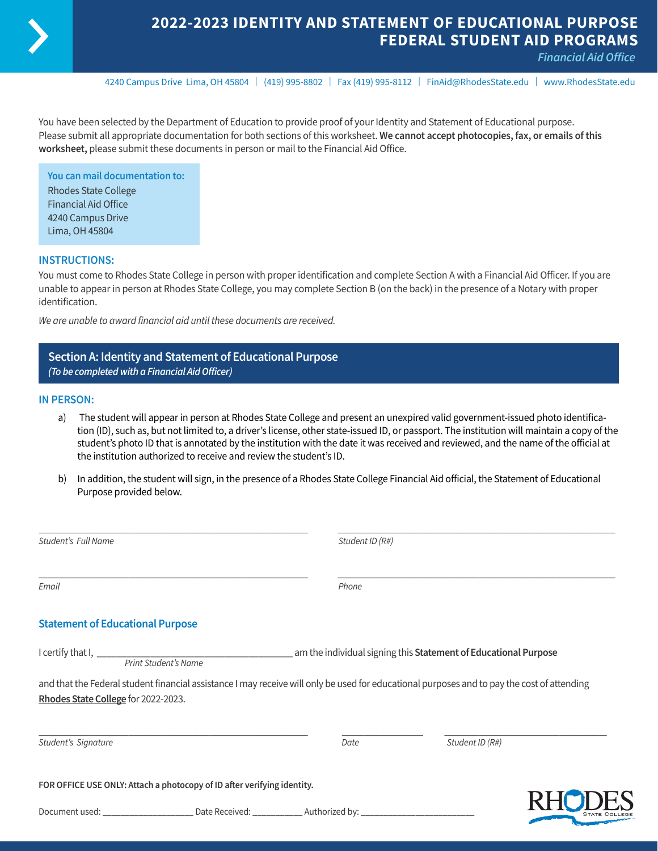

# **2022-2023 IDENTITY AND STATEMENT OF EDUCATIONAL PURPOSE FEDERAL STUDENT AID PROGRAMS**

*Financial Aid Office* 

4240 Campus Drive Lima, OH 45804 | (419) 995-8802 | Fax (419) 995-8112 | [FinAid@RhodesState.edu](mailto:FinAid@RhodesState.edu) | [www.RhodesState.edu](http://www.RhodesState.edu)

You have been selected by the Department of Education to provide proof of your Identity and Statement of Educational purpose. Please submit all appropriate documentation for both sections of this worksheet. **We cannot accept photocopies, fax, or emails of this worksheet,** please submit these documents in person or mail to the Financial Aid Office.

**You can mail documentation to:** Rhodes State College Financial Aid Office 4240 Campus Drive Lima, OH 45804

### **INSTRUCTIONS:**

You must come to Rhodes State College in person with proper identification and complete Section A with a Financial Aid Officer. If you are unable to appear in person at Rhodes State College, you may complete Section B (on the back) in the presence of a Notary with proper identification.

*We are unable to award financial aid until these documents are received.*

### **Section A: Identity and Statement of Educational Purpose** *(To be completed with a Financial Aid Officer)*

#### **IN PERSON:**

- a) The student will appear in person at Rhodes State College and present an unexpired valid government-issued photo identification (ID), such as, but not limited to, a driver's license, other state-issued ID, or passport. The institution will maintain a copy of the student's photo ID that is annotated by the institution with the date it was received and reviewed, and the name of the official at the institution authorized to receive and review the student's ID.
- b) In addition, the student will sign, in the presence of a Rhodes State College Financial Aid official, the Statement of Educational Purpose provided below.

| Student's Full Name                     |                                                                                                                                             | Student ID (R#)                                                 |                 |  |
|-----------------------------------------|---------------------------------------------------------------------------------------------------------------------------------------------|-----------------------------------------------------------------|-----------------|--|
| Email                                   |                                                                                                                                             | Phone                                                           |                 |  |
| <b>Statement of Educational Purpose</b> |                                                                                                                                             |                                                                 |                 |  |
|                                         |                                                                                                                                             | am the individual signing this Statement of Educational Purpose |                 |  |
|                                         | and that the Federal student financial assistance I may receive will only be used for educational purposes and to pay the cost of attending |                                                                 |                 |  |
| Rhodes State College for 2022-2023.     |                                                                                                                                             |                                                                 |                 |  |
| Student's Signature                     |                                                                                                                                             | Date                                                            | Student ID (R#) |  |
|                                         | FOR OFFICE USE ONLY: Attach a photocopy of ID after verifying identity.                                                                     |                                                                 |                 |  |
|                                         |                                                                                                                                             |                                                                 |                 |  |